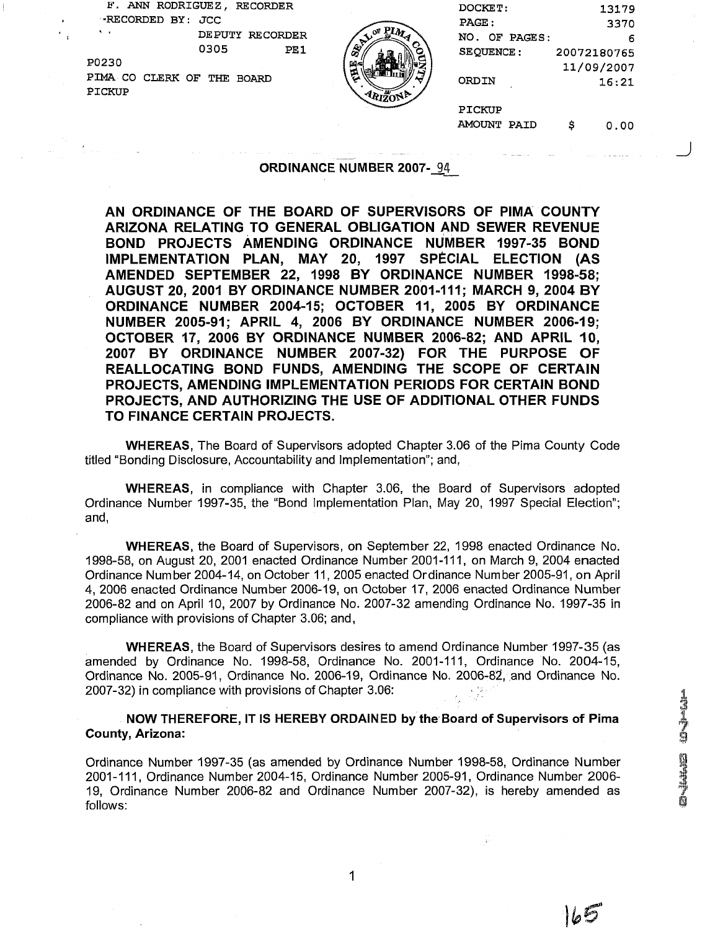| F. ANN RODRIGUEZ, RECORDER                 | DOCKET:                                                             | 13179       |
|--------------------------------------------|---------------------------------------------------------------------|-------------|
| RECORDED BY: JCC                           | PAGE:                                                               | 3370        |
| $\mathbf{A}$<br>DEPUTY RECORDER            | $\mathbf{p}_{\boldsymbol{M}}$<br>O <sup>F</sup><br>NO.<br>OF PAGES: | 6           |
| 0305<br>PE1                                | \$,<br>SEQUENCE:                                                    | 20072180765 |
| P0230                                      | r⊒∝                                                                 | 11/09/2007  |
| PIMA CO<br>CLERK OF<br>THE<br><b>BOARD</b> | ত<br>ORDIN                                                          | 16:21       |
| PICKUP                                     | $-4k\overline{120}N^{\frac{1}{2}}$                                  |             |
|                                            | PICKUP                                                              |             |
|                                            | AMOUNT<br>PAID                                                      | 0.00        |

### ORDINANCE NUMBER 2007-94

AN ORDINANCE OF THE BOARD OF SUPERVISORS OF PlMA COUNTY ARIZONA RELATING TO GENERAL OBLIGATION AND SEWER REVENUE BOND PROJECTS AMENDING ORDINANCE NUMBER 1997-35 BOND IMPLEMENTATION PLAN, MAY 20, 1997 SPECIAL ELECTION (AS AMENDED SEPTEMBER 22, 1998 BY ORDINANCE NUMBER 1998-58; AUGUST 20, 2001 BY ORDINANCE NUMBER 2001-111; MARCH 9, 2004 BY ORDINANCE NUMBER 2004-15; OCTOBER 11, 2005 BY ORDINANCE NUMBER 2005-91; APRIL 4, 2006 BY ORDINANCE NUMBER 2006-19; OCTOBER 17, 2006 BY ORDINANCE NUMBER 2006-82; AND APRIL 10, 2007 BY ORDINANCE NUMBER 2007-32) FOR THE PURPOSE OF REALLOCATING BOND FUNDS, AMENDING THE SCOPE OF CERTAIN PROJECTS, AMENDING IMPLEMENTATION PERIODS FOR CERTAIN BOND PROJECTS, AND AUTHORIZING THE USE OF ADDITIONAL OTHER FUNDS TO FINANCE CERTAIN PROJECTS.

WHEREAS, The Board of Supervisors adopted Chapter 3.06 of the Pima County Code titled "Bonding Disclosure, Accountability and Implementation"; and,

WHEREAS, in compliance with Chapter 3.06, the Board of Supervisors adopted Ordinance Number 1997-35, the "Bond Implementation Plan, May 20, 1997 Special Election"; and,

WHEREAS, the Board of Supervisors, on September 22, 1998 enacted Ordinance No. 1998-58, on August 20, 2001 enacted Ordinance Number 2001-111, on March 9, 2004 enacted Ordinance Number 2004-14, on October 11,2005 enacted Ordinance Number 2005-91, on April 4, 2006 enacted Ordinance Number 2006-19, on October 17, 2006 enacted Ordinance Number 2006-82 and on April 10, 2007 by Ordinance No. 2007-32 amending Ordinance No. 1997-35 in compliance with provisions of Chapter 3.06; and,

WHEREAS, the Board of Supervisors desires to amend Ordinance Number 1997-35 (as amended by Ordinance No. 1998-58, Ordinance No. 2001-111. Ordinance No. 2004-15. Ordinance No. 2005-91, Ordinance No. 2006-19, Ordinance No. 2006-82, and Ordinance No. 2007-32) in compliance with provisions of Chapter 3.06:

NOW THEREFORE, IT IS HEREBY ORDAINED by the Board of Supervisors of Pima County, Arizona:

Ordinance Number 1997-35 (as amended by Ordinance Number 1998-58, Ordinance Number 2001-111, Ordinance Number 2004-15, Ordinance Number 2005-91, Ordinance Number 2006-19, Ordinance Number 2006-82 and Ordinance Number 2007-32), is hereby amended as follows:

 $\overline{\phantom{a}}$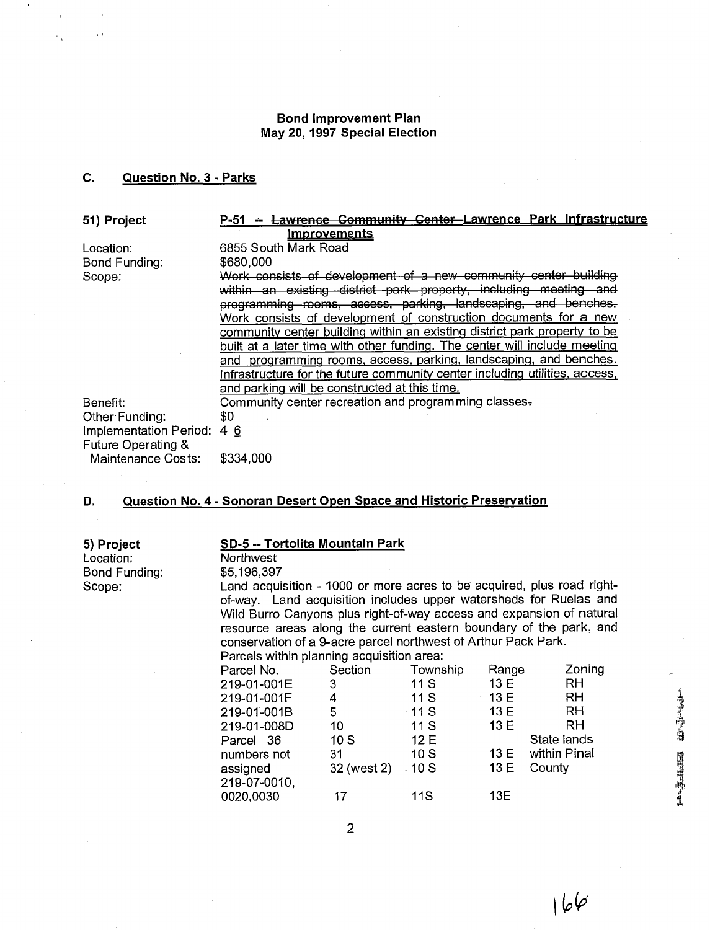# **Bond Improvement Plan May 20, 1997 Special Election**

# **C. Question No. 3** - **Parks**

**51) Project** 

Location: Bond Funding: Scope:

Benefit:

6855 South Mark Road \$680,000

**Parks**<br> **Parks**<br> **Parks**<br> **P-51 -- Lawrence Community Center Lawrence Park Infrastructure<br>
<b>Improvements**<br> **P-51 -- Lawrence Community Center Lawrence Park Infrastructure**<br> **P-55** South Mark Road<br> **P-555** South Mark Road<br> *Work* consists of development of a new community center building ty, including me programming rooms, access, parking, landscaping, and benches. Work consists of development of construction documents for a new community center building within an existing district park property to be built at a later time with other fundinq. The center will include meetinq and programming rooms, access, parking, landscaping, and benches. Infrastructure for the future communitv center includinq utilities, access, and parkinq will be constructed at this time. Community center recreation and programming classes-\$0 \$334,000

Other<sup>.</sup> Funding: mplementation Period: 4 6 Future Operating & Maintenance Costs:

### **D. Question No. 4** - **Sonoran Desert Open Space and Historic Preservation**

**5) Project SD-5 -- Tortolita Mountain Park <br>
Location: Northwest** Bond Funding:

# Northwest<br>\$5.196.397

Scope: Land acquisition - 1000 or more acres to be acquired, plus road rightof-way. Land acquisition includes upper watersheds for Ruelas and Wild Burro Canyons plus right-of-way access and expansion of natural resource areas along the current eastern boundary of the park, and conservation of a 9-acre parcel northwest of Arthur Pack Park.

Parcels within planning acquisition area:

| Parcel No.   | Section     | Township   | Range        | Zoning       |
|--------------|-------------|------------|--------------|--------------|
| 219-01-001E  | 3           | 11S        | 13 E         | <b>RH</b>    |
| 219-01-001F  | 4           | 11S        | $\cdot$ 13 E | RH           |
| 219-01-001B  | 5           | $-11S$     | 13E          | <b>RH</b>    |
| 219-01-008D  | 10          | 11 S       | 13E          | RH           |
| Parcel 36    | 10S         | 12E        |              | State lands  |
| numbers not  | -31         | 10S        | 13E          | within Pinal |
| assigned     | 32 (west 2) | $-10S$     | 13 E         | County       |
| 219-07-0010, |             |            |              |              |
| 0020,0030    | 17          | <b>11S</b> | 13E          |              |
|              |             |            |              |              |

 $\overline{2}$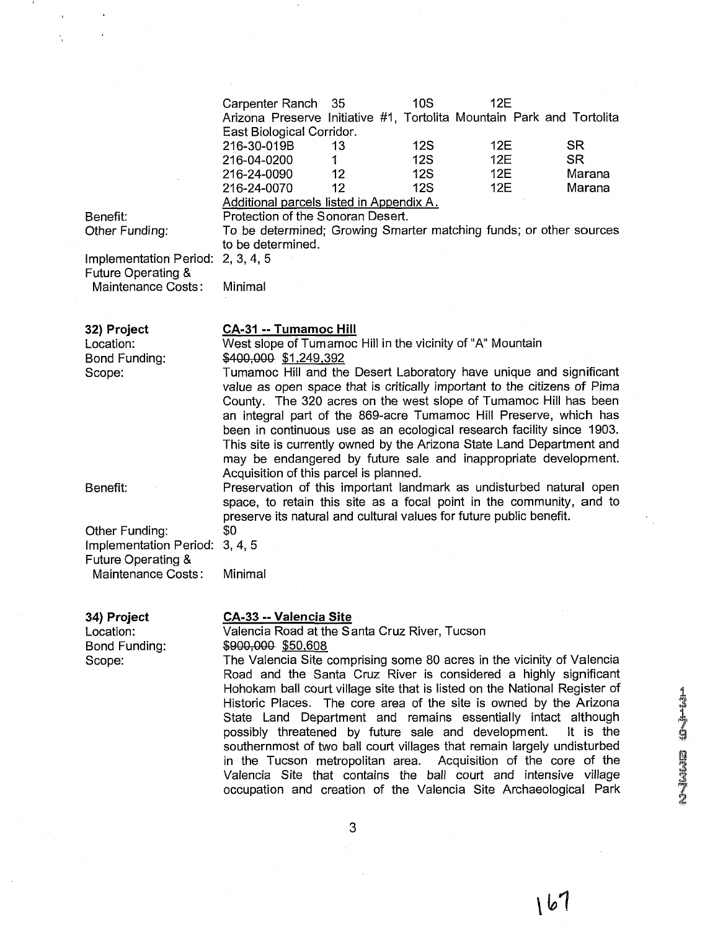|                                          | Carpenter Ranch<br>Arizona Preserve Initiative #1, Tortolita Mountain Park and Tortolita                                                    | 35 | 10S        | 12E |           |  |
|------------------------------------------|---------------------------------------------------------------------------------------------------------------------------------------------|----|------------|-----|-----------|--|
|                                          | East Biological Corridor.<br>216-30-019B                                                                                                    | 13 | 12S        | 12E | <b>SR</b> |  |
|                                          | 216-04-0200                                                                                                                                 | 1. | 12S        | 12E | <b>SR</b> |  |
|                                          | 216-24-0090                                                                                                                                 | 12 | <b>12S</b> | 12E | Marana    |  |
|                                          | 216-24-0070                                                                                                                                 | 12 | <b>12S</b> | 12E | Marana    |  |
|                                          | Additional parcels listed in Appendix A.                                                                                                    |    |            |     |           |  |
| Benefit:<br>Other Funding:               | Protection of the Sonoran Desert.<br>To be determined; Growing Smarter matching funds; or other sources                                     |    |            |     |           |  |
|                                          | to be determined.                                                                                                                           |    |            |     |           |  |
| Implementation Period:                   | 2, 3, 4, 5                                                                                                                                  |    |            |     |           |  |
| Future Operating &<br>Maintenance Costs: | Minimal                                                                                                                                     |    |            |     |           |  |
|                                          |                                                                                                                                             |    |            |     |           |  |
| 32) Project                              | CA-31 -- Tumamoc Hill                                                                                                                       |    |            |     |           |  |
| Location:                                | West slope of Tumamoc Hill in the vicinity of "A" Mountain                                                                                  |    |            |     |           |  |
| Bond Funding:<br>Scope:                  | \$400,000 \$1,249,392<br>Tumamoc Hill and the Desert Laboratory have unique and significant                                                 |    |            |     |           |  |
|                                          | value as open space that is critically important to the citizens of Pima                                                                    |    |            |     |           |  |
|                                          | County. The 320 acres on the west slope of Tumamoc Hill has been<br>an integral part of the 869-acre Tumamoc Hill Preserve, which has       |    |            |     |           |  |
|                                          | been in continuous use as an ecological research facility since 1903.                                                                       |    |            |     |           |  |
|                                          | This site is currently owned by the Arizona State Land Department and                                                                       |    |            |     |           |  |
|                                          | may be endangered by future sale and inappropriate development.                                                                             |    |            |     |           |  |
|                                          | Acquisition of this parcel is planned.                                                                                                      |    |            |     |           |  |
| Benefit:                                 | Preservation of this important landmark as undisturbed natural open<br>space, to retain this site as a focal point in the community, and to |    |            |     |           |  |
|                                          | preserve its natural and cultural values for future public benefit.                                                                         |    |            |     |           |  |
| Other Funding:                           | \$0                                                                                                                                         |    |            |     |           |  |
| Implementation Period:                   | 3, 4, 5                                                                                                                                     |    |            |     |           |  |
| <b>Future Operating &amp;</b>            |                                                                                                                                             |    |            |     |           |  |
| Maintenance Costs:                       | Minimal                                                                                                                                     |    |            |     |           |  |
| 34) Project                              | CA-33 -- Valencia Site                                                                                                                      |    |            |     |           |  |
| Location:                                | Valencia Road at the Santa Cruz River, Tucson                                                                                               |    |            |     |           |  |
|                                          |                                                                                                                                             |    |            |     |           |  |

Bond Funding: \$900,000 \$50,608<br>Scope: The Valencia Site of

3

The Valencia Site comprising some 80 acres in the vicinity of Valencia Road and the Santa Cruz River is considered a highly significant Hohokam ball court village site that is listed on the National Register of Historic Places. The core area of the site is owned by the Arizona State Land Department and remains essentially intact although possibly threatened by future sale and development. It is the

southernmost of two ball court villages that remain largely undisturbed in the Tucson metropolitan area. Acquisition of the core of the Valencia Site that contains the ball court and intensive village occupation and creation of the Valencia Site Archaeological Park

possibly threatened by future sale and development.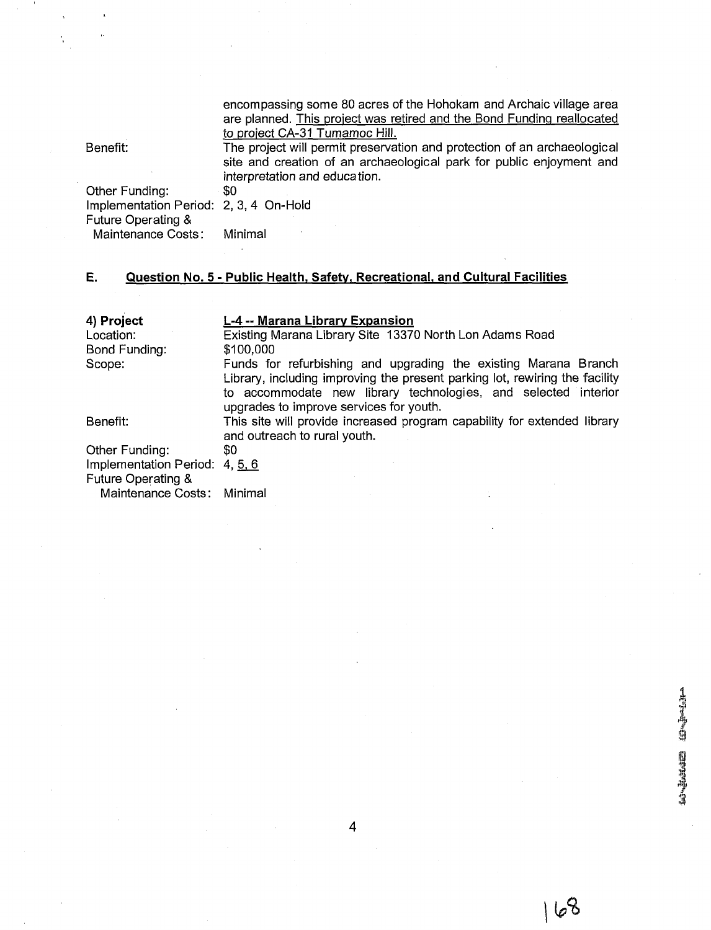encompassing some 80 acres of the Hohokam and Archaic village area are planned. This project was retired and the Bond Funding reallocated to project CA-31 Tumamoc Hill.

Benefit: The project will permit preservation and protection of an archaeological site and creation of an archaeological park for public enjoyment and interpretation and education.<br>\$0

Other Funding: Implementation Period: 2, 3,4 On-Hold Future Operating & Maintenance Costs: Minimal

# **E. Question No. 5** - **Public Health, Safetv, Recreational. and Cultural Facilities**

| 4) Project                     | L-4 -- Marana Library Expansion                                             |
|--------------------------------|-----------------------------------------------------------------------------|
| Location:                      | Existing Marana Library Site 13370 North Lon Adams Road                     |
| Bond Funding:                  | \$100,000                                                                   |
| Scope:                         | Funds for refurbishing and upgrading the existing Marana Branch             |
|                                | Library, including improving the present parking lot, rewiring the facility |
|                                | to accommodate new library technologies, and selected interior              |
|                                | upgrades to improve services for youth.                                     |
| Benefit:                       | This site will provide increased program capability for extended library    |
|                                | and outreach to rural youth.                                                |
| Other Funding:                 | 80                                                                          |
| Implementation Period: 4, 5, 6 |                                                                             |
| <b>Future Operating &amp;</b>  |                                                                             |
| Maintenance Costs:             | Minimal                                                                     |

portalents in the later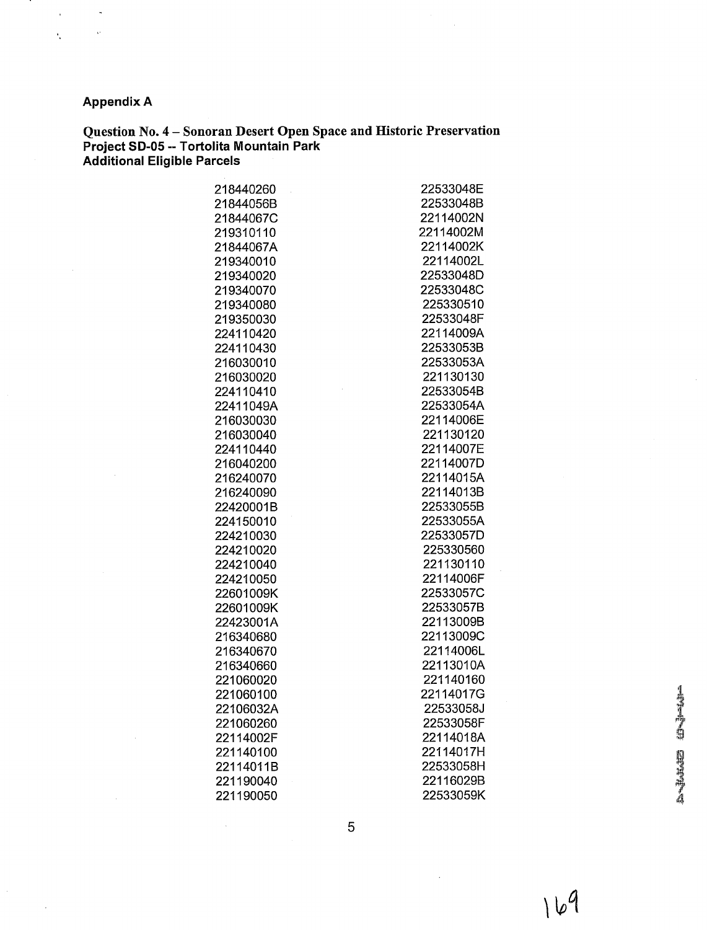# **Appendix A**

 $\mathbf{r}$ 

**Question No. 4** - **Sonoran Desert Open Space and Historic Preservation Project SD-05** -- **Tortolita Mountain Park Additional Eligible Parcels** 

22533048E 22533048B 22114002N 22114002M 22114002K 22114002L 22533048D 22533048C 225330510 22533048F 22114009A 22533053B 22533053A 221130130 22533054B 22533054A 22114006E 221130120 22114007E 22114007D 22114015A 22114013B 22533055B 22533055A 22533057D 225330560 221130110 22114006F 22533057C 22533057B 22113009B 22113009C 22114006L 22113010A 221140160 22114017G 22533058J 22533058F 22114018A 22114017H 22533058H 22116029B 22533059K

Andrew Orlean